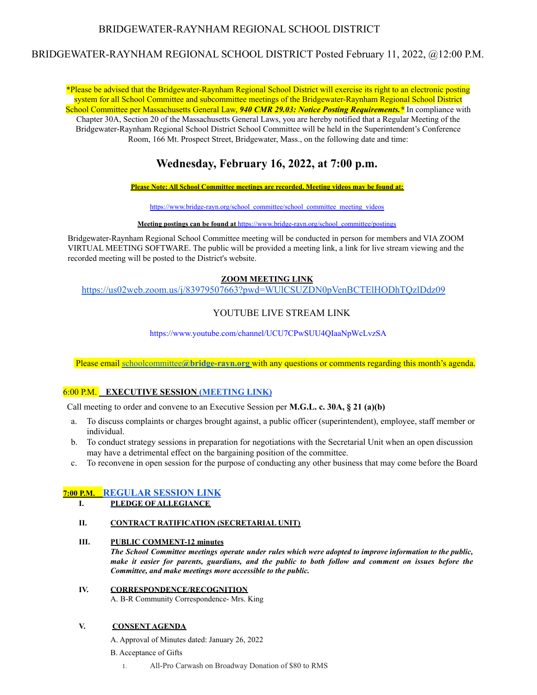# BRIDGEWATER-RAYNHAM REGIONAL SCHOOL DISTRICT

# BRIDGEWATER-RAYNHAM REGIONAL SCHOOL DISTRICT Posted February 11, 2022, @12:00 P.M.

\*Please be advised that the Bridgewater-Raynham Regional School District will exercise its right to an electronic posting system for all School Committee and subcommittee meetings of the Bridgewater-Raynham Regional School District School Committee per Massachusetts General Law, *940 CMR 29.03: Notice Posting Requirements.\** In compliance with Chapter 30A, Section 20 of the Massachusetts General Laws, you are hereby notified that a Regular Meeting of the Bridgewater-Raynham Regional School District School Committee will be held in the Superintendent's Conference Room, 166 Mt. Prospect Street, Bridgewater, Mass., on the following date and time:

# **Wednesday, February 16, 2022, at 7:00 p.m.**

**Please Note: All School Committee meetings are recorded. Meeting videos may be found at:**

https:/[/www.bridge-rayn.org/school\\_committee/school\\_committee\\_meeting\\_videos](http://www.bridge-rayn.org/school_committee/school_committee_meeting_videos)

**Meeting postings can be found at** https://[www.bridge-rayn.org/school\\_committee/postings](http://www.bridge-rayn.org/school_committee/postings)

Bridgewater-Raynham Regional School Committee meeting will be conducted in person for members and VIA ZOOM VIRTUAL MEETING SOFTWARE. The public will be provided a meeting link, a link for live stream viewing and the recorded meeting will be posted to the District's website.

## **ZOOM MEETING LINK**

<https://us02web.zoom.us/j/83979507663?pwd=WUlCSUZDN0pVenBCTElHODhTQzlDdz09>

# YOUTUBE LIVE STREAM LINK

http[s://www.y](http://www.youtube.com/channel/UCU7CPwSUU4QIaaNpWcLvzSA)ou[tube.com/channel/UCU7CPwSUU4QIaaNpWcLvzSA](http://www.youtube.com/channel/UCU7CPwSUU4QIaaNpWcLvzSA)

Please email schoolcommittee**[@bridge-rayn.org](mailto:jmacdougall@bridge-rayn.org)** with any questions or comments regarding this month's agenda.

## 6:00 P.M. **EXECUTIVE SESSION [\(MEETING](https://us02web.zoom.us/j/82726390357?pwd=bmpaalI4bWpVaE1VUU84a2FMbzlrdz09) LINK)**

Call meeting to order and convene to an Executive Session per **M.G.L. c. 30A, § 21 (a)(b)**

- a. To discuss complaints or charges brought against, a public officer (superintendent), employee, staff member or individual.
- b. To conduct strategy sessions in preparation for negotiations with the Secretarial Unit when an open discussion may have a detrimental effect on the bargaining position of the committee.
- c. To reconvene in open session for the purpose of conducting any other business that may come before the Board

# **7:00 P.M. [REGULAR](https://us02web.zoom.us/j/83979507663?pwd=WUlCSUZDN0pVenBCTElHODhTQzlDdz09) SESSION LINK**

**I. PLEDGE OF ALLEGIANCE**

### **II. CONTRACT RATIFICATION (SECRETARIAL UNIT)**

## **III. PUBLIC COMMENT-12 minutes**

*The School Committee meetings operate under rules which were adopted to improve information to the public,* make it easier for parents, guardians, and the public to both follow and comment on issues before the *Committee, and make meetings more accessible to the public.*

# **IV. CORRESPONDENCE/RECOGNITION**

A. B-R Community Correspondence- Mrs. King

## **V. CONSENT AGENDA**

A. Approval of Minutes dated: January 26, 2022

- B. Acceptance of Gifts
	- 1. All-Pro Carwash on Broadway Donation of \$80 to RMS